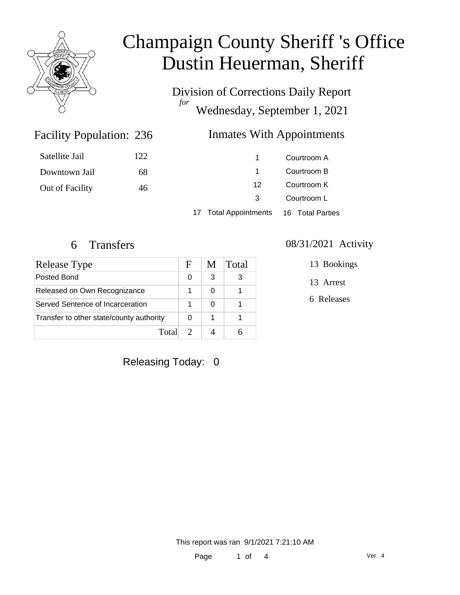

# Champaign County Sheriff 's Office Dustin Heuerman, Sheriff

Division of Corrections Daily Report *for* Wednesday, September 1, 2021

### Inmates With Appointments

| Satellite Jail  | 122. |    | Courtroom A |
|-----------------|------|----|-------------|
| Downtown Jail   | 68   |    | Courtroom B |
| Out of Facility | 46   | 12 | Courtroom K |
|                 |      | 3  | Courtroom L |
|                 |      |    |             |

17 Total Appointments 16 Total Parties

Facility Population: 236

| Release Type                             | н | M | Total |
|------------------------------------------|---|---|-------|
| Posted Bond                              | O | 3 | З     |
| Released on Own Recognizance             |   |   |       |
| Served Sentence of Incarceration         |   |   |       |
| Transfer to other state/county authority |   | 1 |       |
| Total                                    |   |   |       |

#### 6 Transfers 08/31/2021 Activity

13 Bookings

13 Arrest

6 Releases

Releasing Today: 0

This report was ran 9/1/2021 7:21:10 AM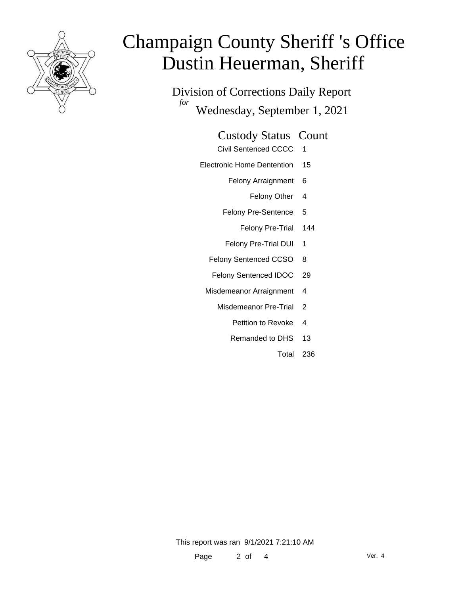

# Champaign County Sheriff 's Office Dustin Heuerman, Sheriff

Division of Corrections Daily Report *for* Wednesday, September 1, 2021

### Custody Status Count

- Civil Sentenced CCCC 1
- Electronic Home Dentention 15
	- Felony Arraignment 6
		- Felony Other 4
	- Felony Pre-Sentence 5
		- Felony Pre-Trial 144
	- Felony Pre-Trial DUI 1
	- Felony Sentenced CCSO 8
	- Felony Sentenced IDOC 29
	- Misdemeanor Arraignment 4
		- Misdemeanor Pre-Trial 2
			- Petition to Revoke 4
			- Remanded to DHS 13
				- Total 236

This report was ran 9/1/2021 7:21:10 AM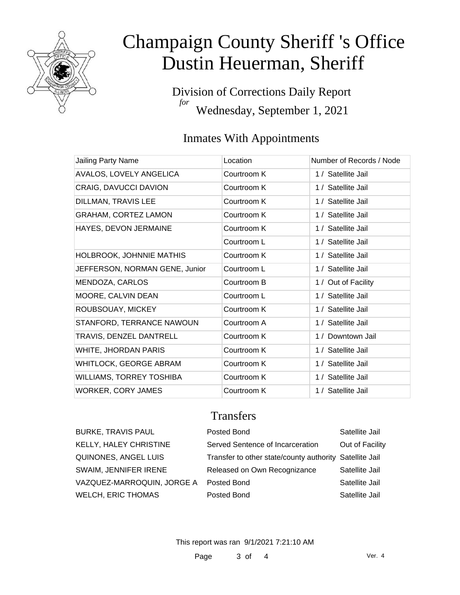

# Champaign County Sheriff 's Office Dustin Heuerman, Sheriff

Division of Corrections Daily Report *for* Wednesday, September 1, 2021

### Inmates With Appointments

| Jailing Party Name              | Location    | Number of Records / Node |
|---------------------------------|-------------|--------------------------|
| AVALOS, LOVELY ANGELICA         | Courtroom K | 1 / Satellite Jail       |
| CRAIG, DAVUCCI DAVION           | Courtroom K | 1 / Satellite Jail       |
| DILLMAN, TRAVIS LEE             | Courtroom K | 1 / Satellite Jail       |
| <b>GRAHAM, CORTEZ LAMON</b>     | Courtroom K | 1 / Satellite Jail       |
| HAYES, DEVON JERMAINE           | Courtroom K | 1 / Satellite Jail       |
|                                 | Courtroom L | 1 / Satellite Jail       |
| <b>HOLBROOK, JOHNNIE MATHIS</b> | Courtroom K | 1 / Satellite Jail       |
| JEFFERSON, NORMAN GENE, Junior  | Courtroom L | 1 / Satellite Jail       |
| MENDOZA, CARLOS                 | Courtroom B | 1 / Out of Facility      |
| MOORE, CALVIN DEAN              | Courtroom L | 1 / Satellite Jail       |
| ROUBSOUAY, MICKEY               | Courtroom K | 1 / Satellite Jail       |
| STANFORD, TERRANCE NAWOUN       | Courtroom A | 1 / Satellite Jail       |
| TRAVIS, DENZEL DANTRELL         | Courtroom K | 1 / Downtown Jail        |
| WHITE, JHORDAN PARIS            | Courtroom K | 1 / Satellite Jail       |
| WHITLOCK, GEORGE ABRAM          | Courtroom K | 1 / Satellite Jail       |
| <b>WILLIAMS, TORREY TOSHIBA</b> | Courtroom K | 1 / Satellite Jail       |
| <b>WORKER, CORY JAMES</b>       | Courtroom K | 1 / Satellite Jail       |

### **Transfers**

| <b>BURKE, TRAVIS PAUL</b>  | Posted Bond                                             | Satellite Jail  |
|----------------------------|---------------------------------------------------------|-----------------|
| KELLY, HALEY CHRISTINE     | Served Sentence of Incarceration                        | Out of Facility |
| QUINONES, ANGEL LUIS       | Transfer to other state/county authority Satellite Jail |                 |
| SWAIM, JENNIFER IRENE      | Released on Own Recognizance                            | Satellite Jail  |
| VAZQUEZ-MARROQUIN, JORGE A | Posted Bond                                             | Satellite Jail  |
| <b>WELCH, ERIC THOMAS</b>  | Posted Bond                                             | Satellite Jail  |